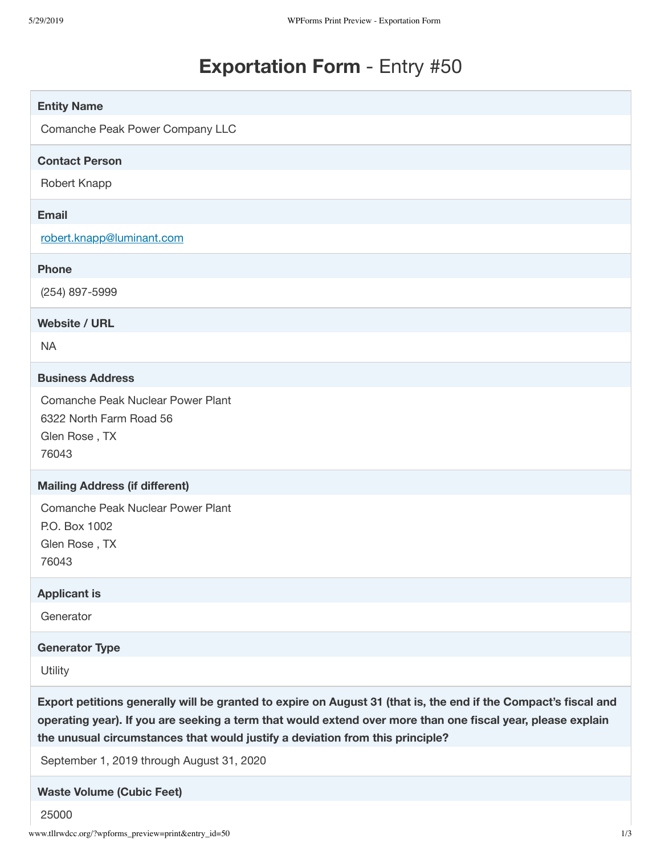# **Exportation Form** - Entry #50

| <b>Entity Name</b>                                                                                                                                                                                                                                                                                              |
|-----------------------------------------------------------------------------------------------------------------------------------------------------------------------------------------------------------------------------------------------------------------------------------------------------------------|
| Comanche Peak Power Company LLC                                                                                                                                                                                                                                                                                 |
| <b>Contact Person</b>                                                                                                                                                                                                                                                                                           |
| Robert Knapp                                                                                                                                                                                                                                                                                                    |
| <b>Email</b>                                                                                                                                                                                                                                                                                                    |
| robert.knapp@luminant.com                                                                                                                                                                                                                                                                                       |
| <b>Phone</b>                                                                                                                                                                                                                                                                                                    |
| (254) 897-5999                                                                                                                                                                                                                                                                                                  |
| <b>Website / URL</b>                                                                                                                                                                                                                                                                                            |
| <b>NA</b>                                                                                                                                                                                                                                                                                                       |
| <b>Business Address</b>                                                                                                                                                                                                                                                                                         |
| Comanche Peak Nuclear Power Plant<br>6322 North Farm Road 56<br>Glen Rose, TX<br>76043                                                                                                                                                                                                                          |
| <b>Mailing Address (if different)</b>                                                                                                                                                                                                                                                                           |
| Comanche Peak Nuclear Power Plant<br>P.O. Box 1002<br>Glen Rose, TX<br>76043                                                                                                                                                                                                                                    |
| <b>Applicant is</b>                                                                                                                                                                                                                                                                                             |
| Generator                                                                                                                                                                                                                                                                                                       |
| <b>Generator Type</b>                                                                                                                                                                                                                                                                                           |
| Utility                                                                                                                                                                                                                                                                                                         |
| Export petitions generally will be granted to expire on August 31 (that is, the end if the Compact's fiscal and<br>operating year). If you are seeking a term that would extend over more than one fiscal year, please explain<br>the unusual circumstances that would justify a deviation from this principle? |
| September 1, 2019 through August 31, 2020                                                                                                                                                                                                                                                                       |
| <b>Waste Volume (Cubic Feet)</b>                                                                                                                                                                                                                                                                                |
| 25000                                                                                                                                                                                                                                                                                                           |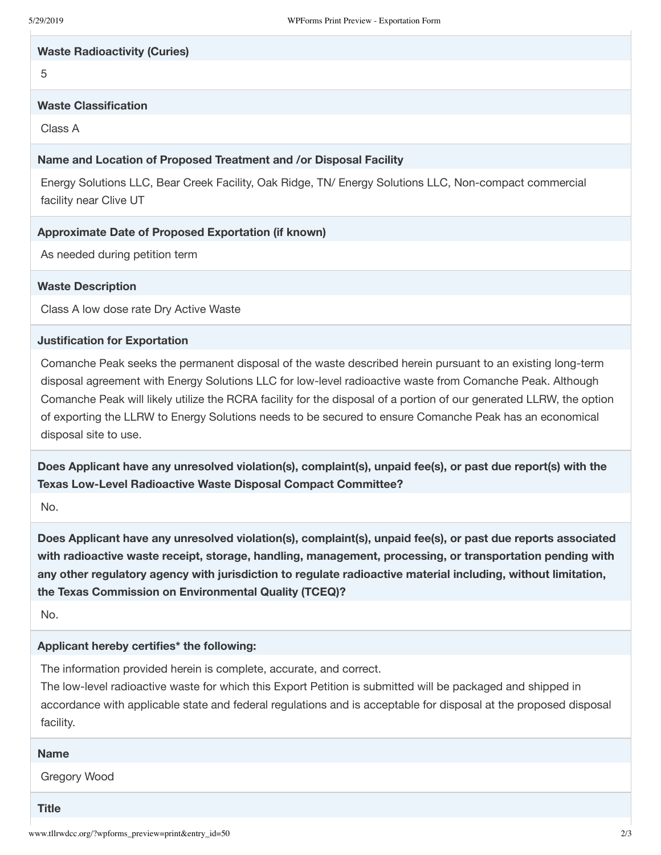#### **Waste Radioactivity (Curies)**

5

# **Waste Classification**

Class A

## **Name and Location of Proposed Treatment and /or Disposal Facility**

Energy Solutions LLC, Bear Creek Facility, Oak Ridge, TN/ Energy Solutions LLC, Non-compact commercial facility near Clive UT

## **Approximate Date of Proposed Exportation (if known)**

As needed during petition term

## **Waste Description**

Class A low dose rate Dry Active Waste

#### **Justification for Exportation**

Comanche Peak seeks the permanent disposal of the waste described herein pursuant to an existing long-term disposal agreement with Energy Solutions LLC for low-level radioactive waste from Comanche Peak. Although Comanche Peak will likely utilize the RCRA facility for the disposal of a portion of our generated LLRW, the option of exporting the LLRW to Energy Solutions needs to be secured to ensure Comanche Peak has an economical disposal site to use.

**Does Applicant have any unresolved violation(s), complaint(s), unpaid fee(s), or past due report(s) with the Texas Low-Level Radioactive Waste Disposal Compact Committee?**

No.

**Does Applicant have any unresolved violation(s), complaint(s), unpaid fee(s), or past due reports associated with radioactive waste receipt, storage, handling, management, processing, or transportation pending with any other regulatory agency with jurisdiction to regulate radioactive material including, without limitation, the Texas Commission on Environmental Quality (TCEQ)?**

No.

## **Applicant hereby certifies\* the following:**

The information provided herein is complete, accurate, and correct.

The low-level radioactive waste for which this Export Petition is submitted will be packaged and shipped in accordance with applicable state and federal regulations and is acceptable for disposal at the proposed disposal facility.

# **Name**

Gregory Wood